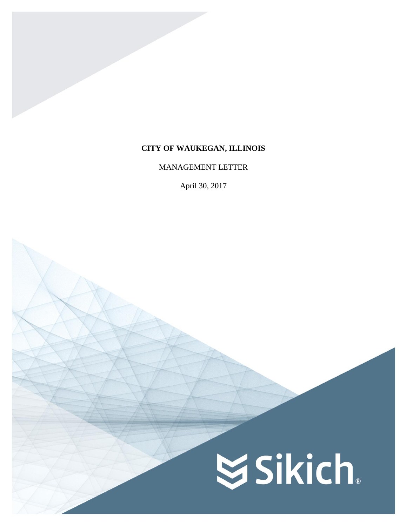# **CITY OF WAUKEGAN, ILLINOIS**

## MANAGEMENT LETTER

April 30, 2017

# **SSikich**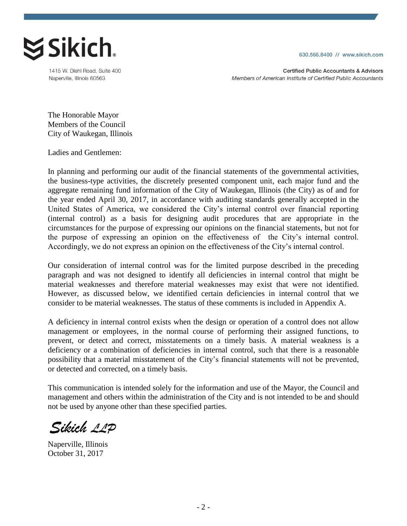630.566.8400 // www.sikich.com



1415 W. Diehl Road, Suite 400 Naperville, Illinois 60563

**Certified Public Accountants & Advisors** Members of American Institute of Certified Public Accountants

The Honorable Mayor Members of the Council City of Waukegan, Illinois

Ladies and Gentlemen:

In planning and performing our audit of the financial statements of the governmental activities, the business-type activities, the discretely presented component unit, each major fund and the aggregate remaining fund information of the City of Waukegan, Illinois (the City) as of and for the year ended April 30, 2017, in accordance with auditing standards generally accepted in the United States of America, we considered the City's internal control over financial reporting (internal control) as a basis for designing audit procedures that are appropriate in the circumstances for the purpose of expressing our opinions on the financial statements, but not for the purpose of expressing an opinion on the effectiveness of the City's internal control. Accordingly, we do not express an opinion on the effectiveness of the City's internal control.

Our consideration of internal control was for the limited purpose described in the preceding paragraph and was not designed to identify all deficiencies in internal control that might be material weaknesses and therefore material weaknesses may exist that were not identified. However, as discussed below, we identified certain deficiencies in internal control that we consider to be material weaknesses. The status of these comments is included in Appendix A.

A deficiency in internal control exists when the design or operation of a control does not allow management or employees, in the normal course of performing their assigned functions, to prevent, or detect and correct, misstatements on a timely basis. A material weakness is a deficiency or a combination of deficiencies in internal control, such that there is a reasonable possibility that a material misstatement of the City's financial statements will not be prevented, or detected and corrected, on a timely basis.

This communication is intended solely for the information and use of the Mayor, the Council and management and others within the administration of the City and is not intended to be and should not be used by anyone other than these specified parties.

Sikich 11P

Naperville, Illinois October 31, 2017